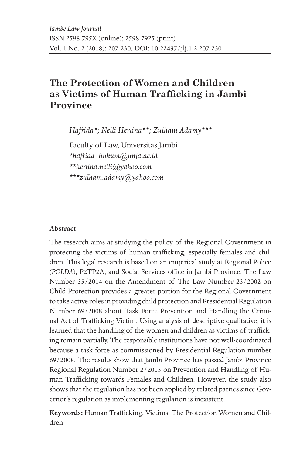# **The Protection of Women and Children as Victims of Human Trafficking in Jambi Province**

*Hafrida\*; Nelli Herlina\*\*; Zulham Adamy\*\*\**

Faculty of Law, Universitas Jambi

*\*hafrida\_hukum@unja.ac.id*

*\*\*herlina.nelli@yahoo.com*

*\*\*\*zulham.adamy@yahoo.com*

#### **Abstract**

The research aims at studying the policy of the Regional Government in protecting the victims of human trafficking, especially females and children. This legal research is based on an empirical study at Regional Police (*POLDA*), P2TP2A, and Social Services office in Jambi Province. The Law Number 35/2014 on the Amendment of The Law Number 23/2002 on Child Protection provides a greater portion for the Regional Government to take active roles in providing child protection and Presidential Regulation Number 69/2008 about Task Force Prevention and Handling the Criminal Act of Trafficking Victim. Using analysis of descriptive qualitative, it is learned that the handling of the women and children as victims of trafficking remain partially. The responsible institutions have not well-coordinated because a task force as commissioned by Presidential Regulation number 69/2008. The results show that Jambi Province has passed Jambi Province Regional Regulation Number 2/2015 on Prevention and Handling of Human Trafficking towards Females and Children. However, the study also shows that the regulation has not been applied by related parties since Governor's regulation as implementing regulation is inexistent.

**Keywords:** Human Trafficking, Victims, The Protection Women and Children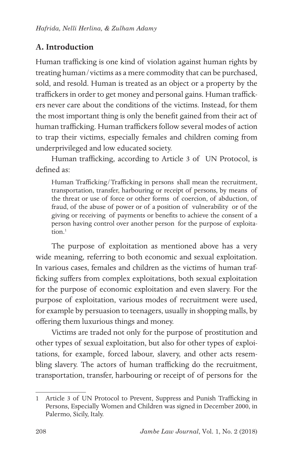## **A. Introduction**

Human trafficking is one kind of violation against human rights by treating human/victims as a mere commodity that can be purchased, sold, and resold. Human is treated as an object or a property by the traffickers in order to get money and personal gains. Human traffickers never care about the conditions of the victims. Instead, for them the most important thing is only the benefit gained from their act of human trafficking. Human traffickers follow several modes of action to trap their victims, especially females and children coming from underprivileged and low educated society.

Human trafficking, according to Article 3 of UN Protocol, is defined as:

Human Trafficking/Trafficking in persons shall mean the recruitment, transportation, transfer, harbouring or receipt of persons, by means of the threat or use of force or other forms of coercion, of abduction, of fraud, of the abuse of power or of a position of vulnerability or of the giving or receiving of payments or benefits to achieve the consent of a person having control over another person for the purpose of exploitation $1$ 

The purpose of exploitation as mentioned above has a very wide meaning, referring to both economic and sexual exploitation. In various cases, females and children as the victims of human trafficking suffers from complex exploitations, both sexual exploitation for the purpose of economic exploitation and even slavery. For the purpose of exploitation, various modes of recruitment were used, for example by persuasion to teenagers, usually in shopping malls, by offering them luxurious things and money.

Victims are traded not only for the purpose of prostitution and other types of sexual exploitation, but also for other types of exploitations, for example, forced labour, slavery, and other acts resembling slavery. The actors of human trafficking do the recruitment, transportation, transfer, harbouring or receipt of of persons for the

<sup>1</sup> Article 3 of UN Protocol to Prevent, Suppress and Punish Trafficking in Persons, Especially Women and Children was signed in December 2000, in Palermo, Sicily, Italy.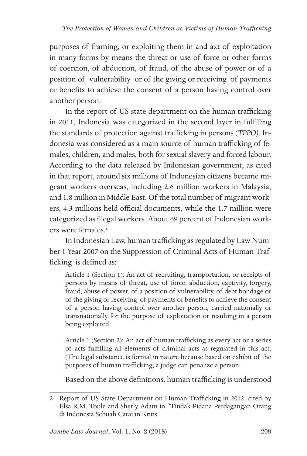purposes of framing, or exploiting them in and axt of exploitation in many forms by means the threat or use of force or other forms of coercion, of abduction, of fraud, of the abuse of power or of a position of vulnerability or of the giving or receiving of payments or benefits to achieve the consent of a person having control over another person.

In the report of US state department on the human trafficking in 2011, Indonesia was categorized in the second layer in fulfilling the standards of protection against trafficking in persons (*TPPO)*. Indonesia was considered as a main source of human trafficking of females, children, and males, both for sexual slavery and forced labour. According to the data released by Indonesian government, as cited in that report, around six millions of Indonesian citizens became migrant workers overseas, including 2.6 million workers in Malaysia, and 1.8 million in Middle East. Of the total number of migrant workers, 4.3 millions held official documents, while the 1.7 million were categorized as illegal workers. About 69 percent of Indonesian workers were females<sup>2</sup>

In Indonesian Law, human trafficking as regulated by Law Number 1 Year 2007 on the Suppression of Criminal Acts of Human Trafficking is defined as:

Article 1 (Section 1): An act of recruiting, transportation, or receipts of persons by means of threat, use of force, abduction, captivity, forgery, fraud, abuse of power, of a position of vulnerability, of debt bondage or of the giving or receiving of payments or benefits to achieve the consent of a person having control over another person, carried nationally or transnationally for the purpose of exploitation or resulting in a person being exploited.

Article 1 (Section 2); An act of human trafficking as every act or a series of acts fulfilling all elements of criminal acts as regulated in this act. (The legal substance is formal in nature because based on exhibit of the purposes of human trafficking, a judge can penalize a person

Based on the above definitions, human trafficking is understood

<sup>2</sup> Report of US State Department on Human Trafficking in 2012, cited by Elsa R.M. Toule and Sherly Adam in "Tindak Pidana Perdagangan Orang di Indonesia Sebuah Catatan Kritis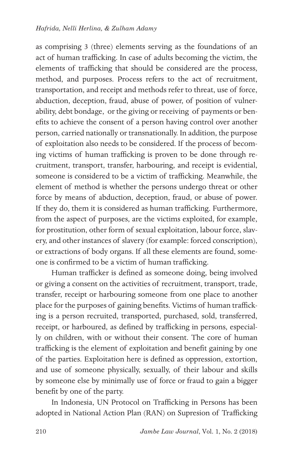as comprising 3 (three) elements serving as the foundations of an act of human trafficking. In case of adults becoming the victim, the elements of trafficking that should be considered are the process, method, and purposes. Process refers to the act of recruitment, transportation, and receipt and methods refer to threat, use of force, abduction, deception, fraud, abuse of power, of position of vulnerability, debt bondage, or the giving or receiving of payments or benefits to achieve the consent of a person having control over another person, carried nationally or transnationally. In addition, the purpose of exploitation also needs to be considered. If the process of becoming victims of human trafficking is proven to be done through recruitment, transport, transfer, harbouring, and receipt is evidential, someone is considered to be a victim of trafficking. Meanwhile, the element of method is whether the persons undergo threat or other force by means of abduction, deception, fraud, or abuse of power. If they do, them it is considered as human trafficking. Furthermore, from the aspect of purposes, are the victims exploited, for example, for prostitution, other form of sexual exploitation, labour force, slavery, and other instances of slavery (for example: forced conscription), or extractions of body organs. If all these elements are found, someone is confirmed to be a victim of human trafficking.

Human trafficker is defined as someone doing, being involved or giving a consent on the activities of recruitment, transport, trade, transfer, receipt or harbouring someone from one place to another place for the purposes of gaining benefits. Victims of human trafficking is a person recruited, transported, purchased, sold, transferred, receipt, or harboured, as defined by trafficking in persons, especially on children, with or without their consent. The core of human trafficking is the element of exploitation and benefit gaining by one of the parties. Exploitation here is defined as oppression, extortion, and use of someone physically, sexually, of their labour and skills by someone else by minimally use of force or fraud to gain a bigger benefit by one of the party.

In Indonesia, UN Protocol on Trafficking in Persons has been adopted in National Action Plan (RAN) on Supresion of Trafficking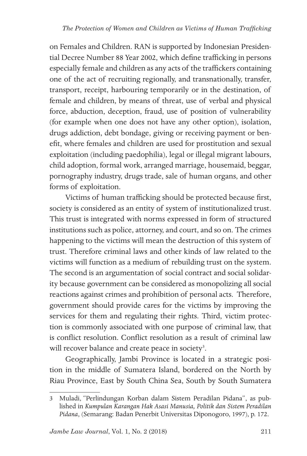on Females and Children. RAN is supported by Indonesian Presidential Decree Number 88 Year 2002, which define trafficking in persons especially female and children as any acts of the traffickers containing one of the act of recruiting regionally, and transnationally, transfer, transport, receipt, harbouring temporarily or in the destination, of female and children, by means of threat, use of verbal and physical force, abduction, deception, fraud, use of position of vulnerability (for example when one does not have any other option), isolation, drugs addiction, debt bondage, giving or receiving payment or benefit, where females and children are used for prostitution and sexual exploitation (including paedophilia), legal or illegal migrant labours, child adoption, formal work, arranged marriage, housemaid, beggar, pornography industry, drugs trade, sale of human organs, and other forms of exploitation.

Victims of human trafficking should be protected because first, society is considered as an entity of system of institutionalized trust. This trust is integrated with norms expressed in form of structured institutions such as police, attorney, and court, and so on. The crimes happening to the victims will mean the destruction of this system of trust. Therefore criminal laws and other kinds of law related to the victims will function as a medium of rebuilding trust on the system. The second is an argumentation of social contract and social solidarity because government can be considered as monopolizing all social reactions against crimes and prohibition of personal acts. Therefore, government should provide cares for the victims by improving the services for them and regulating their rights. Third, victim protection is commonly associated with one purpose of criminal law, that is conflict resolution. Conflict resolution as a result of criminal law will recover balance and create peace in society<sup>3</sup>.

Geographically, Jambi Province is located in a strategic position in the middle of Sumatera Island, bordered on the North by Riau Province, East by South China Sea, South by South Sumatera

<sup>3</sup> Muladi, "Perlindungan Korban dalam Sistem Peradilan Pidana", as published in *Kumpulan Karangan Hak Asasi Manusia, Politik dan Sistem Peradilan Pidana*, (Semarang: Badan Penerbit Universitas Diponogoro, 1997), p. 172.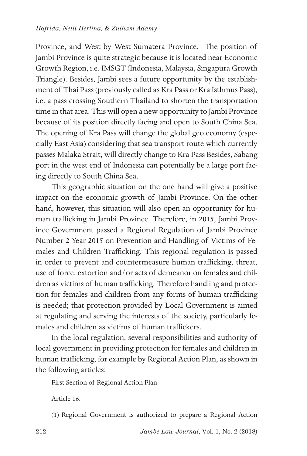Province, and West by West Sumatera Province. The position of Jambi Province is quite strategic because it is located near Economic Growth Region, i.e. IMSGT (Indonesia, Malaysia, Singapura Growth Triangle). Besides, Jambi sees a future opportunity by the establishment of Thai Pass (previously called as Kra Pass or Kra Isthmus Pass), i.e. a pass crossing Southern Thailand to shorten the transportation time in that area. This will open a new opportunity to Jambi Province because of its position directly facing and open to South China Sea. The opening of Kra Pass will change the global geo economy (especially East Asia) considering that sea transport route which currently passes Malaka Strait, will directly change to Kra Pass Besides, Sabang port in the west end of Indonesia can potentially be a large port facing directly to South China Sea.

This geographic situation on the one hand will give a positive impact on the economic growth of Jambi Province. On the other hand, however, this situation will also open an opportunity for human trafficking in Jambi Province. Therefore, in 2015, Jambi Province Government passed a Regional Regulation of Jambi Province Number 2 Year 2015 on Prevention and Handling of Victims of Females and Children Trafficking. This regional regulation is passed in order to prevent and countermeasure human trafficking, threat, use of force, extortion and/or acts of demeanor on females and children as victims of human trafficking. Therefore handling and protection for females and children from any forms of human trafficking is needed; that protection provided by Local Government is aimed at regulating and serving the interests of the society, particularly females and children as victims of human traffickers.

In the local regulation, several responsibilities and authority of local government in providing protection for females and children in human trafficking, for example by Regional Action Plan, as shown in the following articles:

First Section of Regional Action Plan

Article 16:

(1) Regional Government is authorized to prepare a Regional Action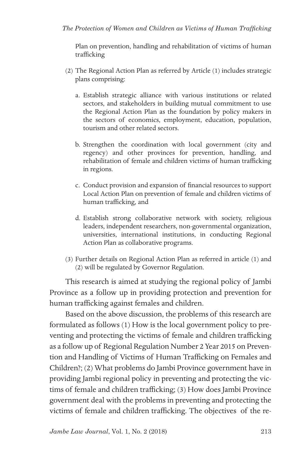Plan on prevention, handling and rehabilitation of victims of human trafficking

- (2) The Regional Action Plan as referred by Article (1) includes strategic plans comprising:
	- a. Establish strategic alliance with various institutions or related sectors, and stakeholders in building mutual commitment to use the Regional Action Plan as the foundation by policy makers in the sectors of economics, employment, education, population, tourism and other related sectors.
	- b. Strengthen the coordination with local government (city and regency) and other provinces for prevention, handling, and rehabilitation of female and children victims of human trafficking in regions.
	- c. Conduct provision and expansion of financial resources to support Local Action Plan on prevention of female and children victims of human trafficking, and
	- d. Establish strong collaborative network with society, religious leaders, independent researchers, non-governmental organization, universities, international institutions, in conducting Regional Action Plan as collaborative programs.
- (3) Further details on Regional Action Plan as referred in article (1) and (2) will be regulated by Governor Regulation.

This research is aimed at studying the regional policy of Jambi Province as a follow up in providing protection and prevention for human trafficking against females and children.

Based on the above discussion, the problems of this research are formulated as follows (1) How is the local government policy to preventing and protecting the victims of female and children trafficking as a follow up of Regional Regulation Number 2 Year 2015 on Prevention and Handling of Victims of Human Trafficking on Females and Children?; (2) What problems do Jambi Province government have in providing Jambi regional policy in preventing and protecting the victims of female and children trafficking; (3) How does Jambi Province government deal with the problems in preventing and protecting the victims of female and children trafficking. The objectives of the re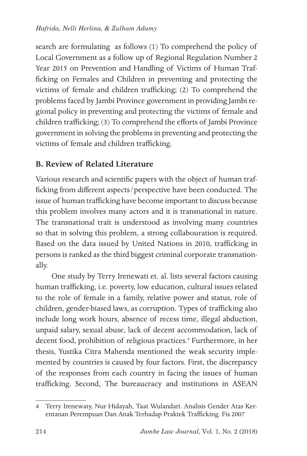search are formulating as follows (1) To comprehend the policy of Local Government as a follow up of Regional Regulation Number 2 Year 2015 on Prevention and Handling of Victims of Human Trafficking on Females and Children in preventing and protecting the victims of female and children trafficking; (2) To comprehend the problems faced by Jambi Province government in providing Jambi regional policy in preventing and protecting the victims of female and children trafficking; (3) To comprehend the efforts of Jambi Province government in solving the problems in preventing and protecting the victims of female and children trafficking.

#### **B. Review of Related Literature**

Various research and scientific papers with the object of human trafficking from different aspects/perspective have been conducted. The issue of human trafficking have become important to discuss because this problem involves many actors and it is transnational in nature. The transnational trait is understood as involving many countries so that in solving this problem, a strong collabouration is required. Based on the data issued by United Nations in 2010, trafficking in persons is ranked as the third biggest criminal corporate transnationally.

One study by Terry Irenewati et. al. lists several factors causing human trafficking, i.e. poverty, low education, cultural issues related to the role of female in a family, relative power and status, role of children, gender-biased laws, as corruption. Types of trafficking also include long work hours, absence of recess time, illegal abduction, unpaid salary, sexual abuse, lack of decent accommodation, lack of decent food, prohibition of religious practices.<sup>4</sup> Furthermore, in her thesis, Yustika Citra Mahenda mentioned the weak security implemented by countries is caused by four factors. First, the discrepancy of the responses from each country in facing the issues of human trafficking. Second, The bureaucracy and institutions in ASEAN

<sup>4</sup> Terry Irenewaty, Nur Hidayah, Taat Wulandari. Analisis Gender Atas Kerentanan Perempuan Dan Anak Terhadap Praktek Trafficking. Fis 2007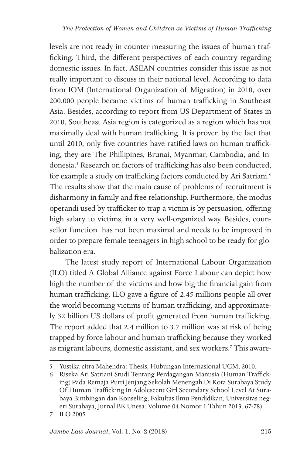levels are not ready in counter measuring the issues of human trafficking. Third, the different perspectives of each country regarding domestic issues. In fact, ASEAN countries consider this issue as not really important to discuss in their national level. According to data from IOM (International Organization of Migration) in 2010, over 200,000 people became victims of human trafficking in Southeast Asia. Besides, according to report from US Department of States in 2010, Southeast Asia region is categorized as a region which has not maximally deal with human trafficking. It is proven by the fact that until 2010, only five countries have ratified laws on human trafficking, they are The Phillipines, Brunai, Myanmar, Cambodia, and Indonesia.<sup>5</sup> Research on factors of trafficking has also been conducted, for example a study on trafficking factors conducted by Ari Satriani.<sup>6</sup> The results show that the main cause of problems of recruitment is disharmony in family and free relationship. Furthermore, the modus operandi used by trafficker to trap a victim is by persuasion, offering high salary to victims, in a very well-organized way. Besides, counsellor function has not been maximal and needs to be improved in order to prepare female teenagers in high school to be ready for globalization era.

The latest study report of International Labour Organization (ILO) titled A Global Alliance against Force Labour can depict how high the number of the victims and how big the financial gain from human trafficking. ILO gave a figure of 2.45 millions people all over the world becoming victims of human trafficking, and approximately 32 billion US dollars of profit generated from human trafficking. The report added that 2.4 million to 3.7 million was at risk of being trapped by force labour and human trafficking because they worked as migrant labours, domestic assistant, and sex workers.<sup>7</sup> This aware-

<sup>5</sup> Yustika citra Mahendra: Thesis, Hubungan Internasional UGM, 2010.

<sup>6</sup> Riszka Ari Satriani Studi Tentang Perdagangan Manusia (Human Trafficking) Pada Remaja Putri Jenjang Sekolah Menengah Di Kota Surabaya Study Of Human Trafficking In Adolescent Girl Secondary School Level At Surabaya Bimbingan dan Konseling, Fakultas Ilmu Pendidikan, Universitas negeri Surabaya, Jurnal BK Unesa. Volume 04 Nomor 1 Tahun 2013. 67-78)

<sup>7</sup> ILO 2005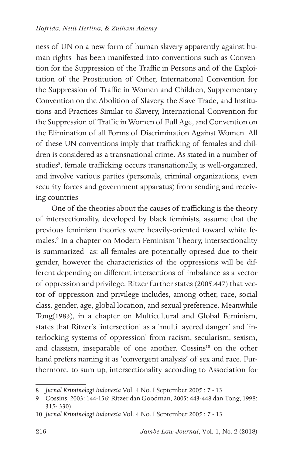ness of UN on a new form of human slavery apparently against human rights has been manifested into conventions such as Convention for the Suppression of the Traffic in Persons and of the Exploitation of the Prostitution of Other, International Convention for the Suppression of Traffic in Women and Children, Supplementary Convention on the Abolition of Slavery, the Slave Trade, and Institutions and Practices Similar to Slavery, International Convention for the Suppression of Traffic in Women of Full Age, and Convention on the Elimination of all Forms of Discrimination Against Women. All of these UN conventions imply that trafficking of females and children is considered as a transnational crime. As stated in a number of studies<sup>8</sup>, female trafficking occurs transnationally, is well-organized, and involve various parties (personals, criminal organizations, even security forces and government apparatus) from sending and receiving countries

One of the theories about the causes of trafficking is the theory of intersectionality, developed by black feminists, assume that the previous feminism theories were heavily-oriented toward white females.9 In a chapter on Modern Feminism Theory, intersectionality is summarized as: all females are potentially opresed due to their gender, however the characteristics of the oppressions will be different depending on different intersections of imbalance as a vector of oppression and privilege. Ritzer further states (2005:447) that vector of oppression and privilege includes, among other, race, social class, gender, age, global location, and sexual preference. Meanwhile Tong(1983), in a chapter on Multicultural and Global Feminism, states that Ritzer's 'intersection' as a 'multi layered danger' and 'interlocking systems of oppression' from racism, secularism, sexism, and classism, inseparable of one another. Cossins<sup>10</sup> on the other hand prefers naming it as 'convergent analysis' of sex and race. Furthermore, to sum up, intersectionality according to Association for

<sup>8</sup> *Jurnal Kriminologi Indonesia* Vol. 4 No. I September 2005 : 7 - 13

<sup>9</sup> Cossins, 2003: 144-156; Ritzer dan Goodman, 2005: 443-448 dan Tong, 1998: 315- 330)

<sup>10</sup> *Jurnal Kriminologi Indonesia* Vol. 4 No. I September 2005 : 7 - 13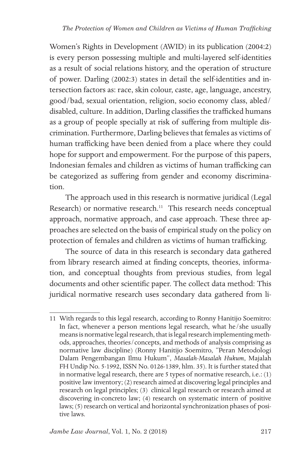Women's Rights in Development (AWID) in its publication (2004:2) is every person possessing multiple and multi-layered self-identities as a result of social relations history, and the operation of structure of power. Darling (2002:3) states in detail the self-identities and intersection factors as: race, skin colour, caste, age, language, ancestry, good/bad, sexual orientation, religion, socio economy class, abled/ disabled, culture. In addition, Darling classifies the trafficked humans as a group of people specially at risk of suffering from multiple discrimination. Furthermore, Darling believes that females as victims of human trafficking have been denied from a place where they could hope for support and empowerment. For the purpose of this papers, Indonesian females and children as victims of human trafficking can be categorized as suffering from gender and economy discrimination.

The approach used in this research is normative juridical (Legal Research) or normative research.<sup>11</sup> This research needs conceptual approach, normative approach, and case approach. These three approaches are selected on the basis of empirical study on the policy on protection of females and children as victims of human trafficking.

The source of data in this research is secondary data gathered from library research aimed at finding concepts, theories, information, and conceptual thoughts from previous studies, from legal documents and other scientific paper. The collect data method: This juridical normative research uses secondary data gathered from li-

<sup>11</sup> With regards to this legal research, according to Ronny Hanitijo Soemitro: In fact, whenever a person mentions legal research, what he/she usually means is normative legal research, that is legal research implementing methods, approaches, theories/concepts, and methods of analysis comprising as normative law discipline) (Ronny Hanitijo Soemitro, "Peran Metodologi Dalam Pengembangan Ilmu Hukum", *Masalah-Masalah Hukum*, Majalah FH Undip No. 5-1992, ISSN No. 0126-1389, hlm. 35). It is further stated that in normative legal research, there are 5 types of normative research, i.e.: (1) positive law inventory; (2) research aimed at discovering legal principles and research on legal principles; (3) clinical legal research or research aimed at discovering in-concreto law; (4) research on systematic intern of positive laws; (5) research on vertical and horizontal synchronization phases of positive laws.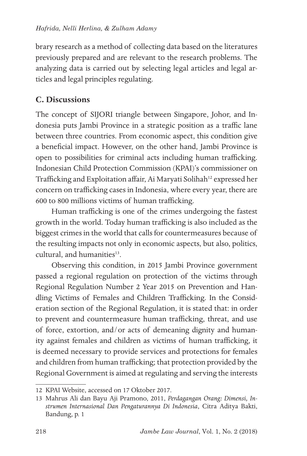brary research as a method of collecting data based on the literatures previously prepared and are relevant to the research problems. The analyzing data is carried out by selecting legal articles and legal articles and legal principles regulating.

### **C. Discussions**

The concept of SIJORI triangle between Singapore, Johor, and Indonesia puts Jambi Province in a strategic position as a traffic lane between three countries. From economic aspect, this condition give a beneficial impact. However, on the other hand, Jambi Province is open to possibilities for criminal acts including human trafficking. Indonesian Child Protection Commission (KPAI)'s commissioner on Trafficking and Exploitation affair, Ai Maryati Solihah<sup>12</sup> expressed her concern on trafficking cases in Indonesia, where every year, there are 600 to 800 millions victims of human trafficking.

Human trafficking is one of the crimes undergoing the fastest growth in the world. Today human trafficking is also included as the biggest crimes in the world that calls for countermeasures because of the resulting impacts not only in economic aspects, but also, politics, cultural, and humanities $13$ .

Observing this condition, in 2015 Jambi Province government passed a regional regulation on protection of the victims through Regional Regulation Number 2 Year 2015 on Prevention and Handling Victims of Females and Children Trafficking. In the Consideration section of the Regional Regulation, it is stated that: in order to prevent and countermeasure human trafficking, threat, and use of force, extortion, and/or acts of demeaning dignity and humanity against females and children as victims of human trafficking, it is deemed necessary to provide services and protections for females and children from human trafficking; that protection provided by the Regional Government is aimed at regulating and serving the interests

<sup>12</sup> KPAI Website, accessed on 17 Oktober 2017.

<sup>13</sup> Mahrus Ali dan Bayu Aji Pramono, 2011, *Perdagangan Orang: Dimensi, Instrumen Internasional Dan Pengaturannya Di Indonesia*, Citra Aditya Bakti, Bandung, p. 1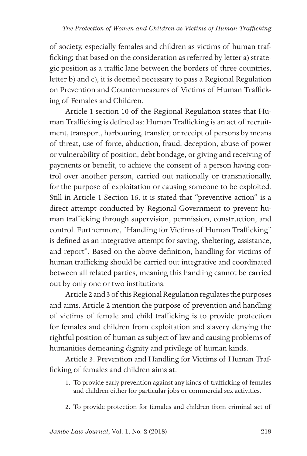of society, especially females and children as victims of human trafficking; that based on the consideration as referred by letter a) strategic position as a traffic lane between the borders of three countries, letter b) and c), it is deemed necessary to pass a Regional Regulation on Prevention and Countermeasures of Victims of Human Trafficking of Females and Children.

Article 1 section 10 of the Regional Regulation states that Human Trafficking is defined as: Human Trafficking is an act of recruitment, transport, harbouring, transfer, or receipt of persons by means of threat, use of force, abduction, fraud, deception, abuse of power or vulnerability of position, debt bondage, or giving and receiving of payments or benefit, to achieve the consent of a person having control over another person, carried out nationally or transnationally, for the purpose of exploitation or causing someone to be exploited. Still in Article 1 Section 16, it is stated that "preventive action" is a direct attempt conducted by Regional Government to prevent human trafficking through supervision, permission, construction, and control. Furthermore, "Handling for Victims of Human Trafficking" is defined as an integrative attempt for saving, sheltering, assistance, and report". Based on the above definition, handling for victims of human trafficking should be carried out integrative and coordinated between all related parties, meaning this handling cannot be carried out by only one or two institutions.

Article 2 and 3 of this Regional Regulation regulates the purposes and aims. Article 2 mention the purpose of prevention and handling of victims of female and child trafficking is to provide protection for females and children from exploitation and slavery denying the rightful position of human as subject of law and causing problems of humanities demeaning dignity and privilege of human kinds.

Article 3. Prevention and Handling for Victims of Human Trafficking of females and children aims at:

- 1. To provide early prevention against any kinds of trafficking of females and children either for particular jobs or commercial sex activities.
- 2. To provide protection for females and children from criminal act of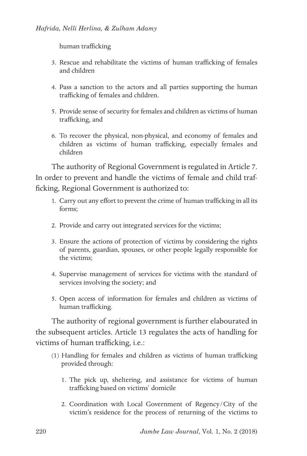human trafficking

- 3. Rescue and rehabilitate the victims of human trafficking of females and children
- 4. Pass a sanction to the actors and all parties supporting the human trafficking of females and children.
- 5. Provide sense of security for females and children as victims of human trafficking, and
- 6. To recover the physical, non-physical, and economy of females and children as victims of human trafficking, especially females and children

The authority of Regional Government is regulated in Article 7. In order to prevent and handle the victims of female and child trafficking, Regional Government is authorized to:

- 1. Carry out any effort to prevent the crime of human trafficking in all its forms;
- 2. Provide and carry out integrated services for the victims;
- 3. Ensure the actions of protection of victims by considering the rights of parents, guardian, spouses, or other people legally responsible for the victims;
- 4. Supervise management of services for victims with the standard of services involving the society; and
- 5. Open access of information for females and children as victims of human trafficking.

The authority of regional government is further elabourated in the subsequent articles. Article 13 regulates the acts of handling for victims of human trafficking, i.e.:

- (1) Handling for females and children as victims of human trafficking provided through:
	- 1. The pick up, sheltering, and assistance for victims of human trafficking based on victims' domicile
	- 2. Coordination with Local Government of Regency/City of the victim's residence for the process of returning of the victims to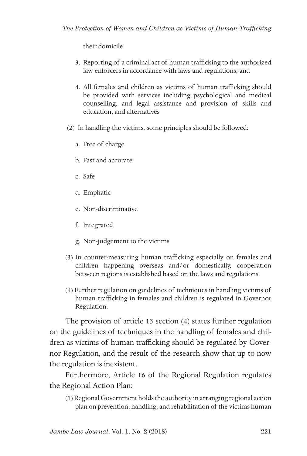their domicile

- 3. Reporting of a criminal act of human trafficking to the authorized law enforcers in accordance with laws and regulations; and
- 4. All females and children as victims of human trafficking should be provided with services including psychological and medical counselling, and legal assistance and provision of skills and education, and alternatives
- (2) In handling the victims, some principles should be followed:
	- a. Free of charge
	- b. Fast and accurate
	- c. Safe
	- d. Emphatic
	- e. Non-discriminative
	- f. Integrated
	- g. Non-judgement to the victims
- (3) In counter-measuring human trafficking especially on females and children happening overseas and/or domestically, cooperation between regions is established based on the laws and regulations.
- (4) Further regulation on guidelines of techniques in handling victims of human trafficking in females and children is regulated in Governor Regulation.

The provision of article 13 section (4) states further regulation on the guidelines of techniques in the handling of females and children as victims of human trafficking should be regulated by Governor Regulation, and the result of the research show that up to now the regulation is inexistent.

Furthermore, Article 16 of the Regional Regulation regulates the Regional Action Plan:

(1) Regional Government holds the authority in arranging regional action plan on prevention, handling, and rehabilitation of the victims human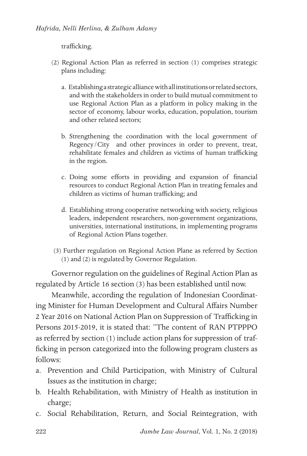trafficking.

- (2) Regional Action Plan as referred in section (1) comprises strategic plans including:
	- a. Establishing a strategic alliance with all institutions or related sectors, and with the stakeholders in order to build mutual commitment to use Regional Action Plan as a platform in policy making in the sector of economy, labour works, education, population, tourism and other related sectors;
	- b. Strengthening the coordination with the local government of Regency/City and other provinces in order to prevent, treat, rehabilitate females and children as victims of human trafficking in the region.
	- c. Doing some efforts in providing and expansion of financial resources to conduct Regional Action Plan in treating females and children as victims of human trafficking; and
	- d. Establishing strong cooperative networking with society, religious leaders, independent researchers, non-government organizations, universities, international institutions, in implementing programs of Regional Action Plans together.
- (3) Further regulation on Regional Action Plane as referred by Section (1) and (2) is regulated by Governor Regulation.

Governor regulation on the guidelines of Reginal Action Plan as regulated by Article 16 section (3) has been established until now.

Meanwhile, according the regulation of Indonesian Coordinating Minister for Human Development and Cultural Affairs Number 2 Year 2016 on National Action Plan on Suppression of Trafficking in Persons 2015-2019, it is stated that: "The content of RAN PTPPPO as referred by section (1) include action plans for suppression of trafficking in person categorized into the following program clusters as follows:

- a. Prevention and Child Participation, with Ministry of Cultural Issues as the institution in charge;
- b. Health Rehabilitation, with Ministry of Health as institution in charge;
- c. Social Rehabilitation, Return, and Social Reintegration, with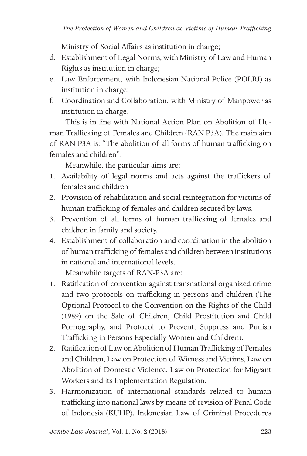Ministry of Social Affairs as institution in charge;

- d. Establishment of Legal Norms, with Ministry of Law and Human Rights as institution in charge;
- e. Law Enforcement, with Indonesian National Police (POLRI) as institution in charge;
- f. Coordination and Collaboration, with Ministry of Manpower as institution in charge.

This is in line with National Action Plan on Abolition of Human Trafficking of Females and Children (RAN P3A). The main aim of RAN-P3A is: "The abolition of all forms of human trafficking on females and children".

Meanwhile, the particular aims are:

- 1. Availability of legal norms and acts against the traffickers of females and children
- 2. Provision of rehabilitation and social reintegration for victims of human trafficking of females and children secured by laws.
- 3. Prevention of all forms of human trafficking of females and children in family and society.
- 4. Establishment of collaboration and coordination in the abolition of human trafficking of females and children between institutions in national and international levels.

Meanwhile targets of RAN-P3A are:

- 1. Ratification of convention against transnational organized crime and two protocols on trafficking in persons and children (The Optional Protocol to the Convention on the Rights of the Child (1989) on the Sale of Children, Child Prostitution and Child Pornography, and Protocol to Prevent, Suppress and Punish Trafficking in Persons Especially Women and Children).
- 2. Ratification of Law on Abolition of Human Trafficking of Females and Children, Law on Protection of Witness and Victims, Law on Abolition of Domestic Violence, Law on Protection for Migrant Workers and its Implementation Regulation.
- 3. Harmonization of international standards related to human trafficking into national laws by means of revision of Penal Code of Indonesia (KUHP), Indonesian Law of Criminal Procedures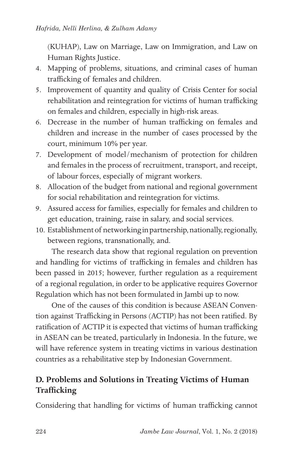(KUHAP), Law on Marriage, Law on Immigration, and Law on Human Rights Justice.

- 4. Mapping of problems, situations, and criminal cases of human trafficking of females and children.
- 5. Improvement of quantity and quality of Crisis Center for social rehabilitation and reintegration for victims of human trafficking on females and children, especially in high-risk areas.
- 6. Decrease in the number of human trafficking on females and children and increase in the number of cases processed by the court, minimum 10% per year.
- 7. Development of model/mechanism of protection for children and females in the process of recruitment, transport, and receipt, of labour forces, especially of migrant workers.
- 8. Allocation of the budget from national and regional government for social rehabilitation and reintegration for victims.
- 9. Assured access for families, especially for females and children to get education, training, raise in salary, and social services.
- 10. Establishment of networking in partnership, nationally, regionally, between regions, transnationally, and.

The research data show that regional regulation on prevention and handling for victims of trafficking in females and children has been passed in 2015; however, further regulation as a requirement of a regional regulation, in order to be applicative requires Governor Regulation which has not been formulated in Jambi up to now.

One of the causes of this condition is because ASEAN Convention against Trafficking in Persons (ACTIP) has not been ratified. By ratification of ACTIP it is expected that victims of human trafficking in ASEAN can be treated, particularly in Indonesia. In the future, we will have reference system in treating victims in various destination countries as a rehabilitative step by Indonesian Government.

## **D. Problems and Solutions in Treating Victims of Human Trafficking**

Considering that handling for victims of human trafficking cannot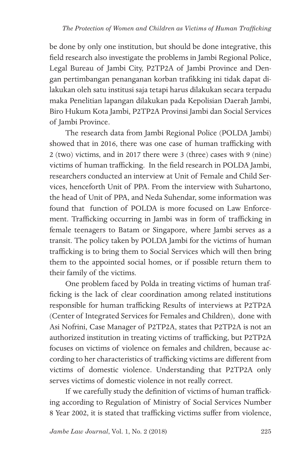be done by only one institution, but should be done integrative, this field research also investigate the problems in Jambi Regional Police, Legal Bureau of Jambi City, P2TP2A of Jambi Province and Dengan pertimbangan penanganan korban trafikking ini tidak dapat dilakukan oleh satu institusi saja tetapi harus dilakukan secara terpadu maka Penelitian lapangan dilakukan pada Kepolisian Daerah Jambi, Biro Hukum Kota Jambi, P2TP2A Provinsi Jambi dan Social Services of Jambi Province.

The research data from Jambi Regional Police (POLDA Jambi) showed that in 2016, there was one case of human trafficking with 2 (two) victims, and in 2017 there were 3 (three) cases with 9 (nine) victims of human trafficking. In the field research in POLDA Jambi, researchers conducted an interview at Unit of Female and Child Services, henceforth Unit of PPA. From the interview with Suhartono, the head of Unit of PPA, and Neda Suhendar, some information was found that function of POLDA is more focused on Law Enforcement. Trafficking occurring in Jambi was in form of trafficking in female teenagers to Batam or Singapore, where Jambi serves as a transit. The policy taken by POLDA Jambi for the victims of human trafficking is to bring them to Social Services which will then bring them to the appointed social homes, or if possible return them to their family of the victims.

One problem faced by Polda in treating victims of human trafficking is the lack of clear coordination among related institutions responsible for human trafficking Results of interviews at P2TP2A (Center of Integrated Services for Females and Children), done with Asi Nofrini, Case Manager of P2TP2A, states that P2TP2A is not an authorized institution in treating victims of trafficking, but P2TP2A focuses on victims of violence on females and children, because according to her characteristics of trafficking victims are different from victims of domestic violence. Understanding that P2TP2A only serves victims of domestic violence in not really correct.

If we carefully study the definition of victims of human trafficking according to Regulation of Ministry of Social Services Number 8 Year 2002, it is stated that trafficking victims suffer from violence,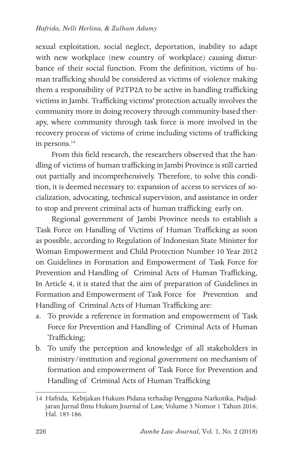sexual exploitation, social neglect, deportation, inability to adapt with new workplace (new country of workplace) causing disturbance of their social function. From the definition, victims of human trafficking should be considered as victims of violence making them a responsibility of P2TP2A to be active in handling trafficking victims in Jambi. Trafficking victims' protection actually involves the community more in doing recovery through community-based therapy, where community through task force is more involved in the recovery process of victims of crime including victims of trafficking in persons.<sup>14</sup>

From this field research, the researchers observed that the handling of victims of human trafficking in Jambi Province is still carried out partially and incomprehensively. Therefore, to solve this condition, it is deemed necessary to: expansion of access to services of socialization, advocating, technical supervision, and assistance in order to stop and prevent criminal acts of human trafficking early on.

Regional government of Jambi Province needs to establish a Task Force on Handling of Victims of Human Trafficking as soon as possible, according to Regulation of Indonesian State Minister for Woman Empowerment and Child Protection Number 10 Year 2012 on Guidelines in Formation and Empowerment of Task Force for Prevention and Handling of Criminal Acts of Human Trafficking, In Article 4, it is stated that the aim of preparation of Guidelines in Formation and Empowerment of Task Force for Prevention and Handling of Criminal Acts of Human Trafficking are:

- a. To provide a reference in formation and empowerment of Task Force for Prevention and Handling of Criminal Acts of Human Trafficking;
- b. To unify the perception and knowledge of all stakeholders in ministry/institution and regional government on mechanism of formation and empowerment of Task Force for Prevention and Handling of Criminal Acts of Human Trafficking

<sup>14</sup> Hafrida, Kebijakan Hukum Pidana terhadap Pengguna Narkotika, Padjadjaran Jurnal Ilmu Hukum Journal of Law, Volume 3 Nomor 1 Tahun 2016. Hal. 185-186.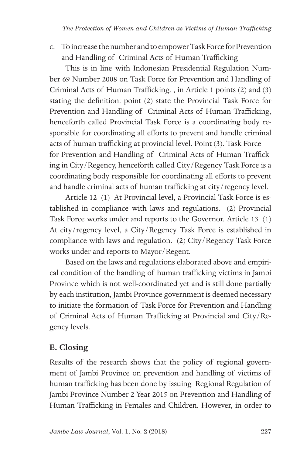c. To increase the number and to empower Task Force for Prevention and Handling of Criminal Acts of Human Trafficking

This is in line with Indonesian Presidential Regulation Number 69 Number 2008 on Task Force for Prevention and Handling of Criminal Acts of Human Trafficking. , in Article 1 points (2) and (3) stating the definition: point (2) state the Provincial Task Force for Prevention and Handling of Criminal Acts of Human Trafficking, henceforth called Provincial Task Force is a coordinating body responsible for coordinating all efforts to prevent and handle criminal acts of human trafficking at provincial level. Point (3). Task Force for Prevention and Handling of Criminal Acts of Human Trafficking in City/Regency, henceforth called City/Regency Task Force is a coordinating body responsible for coordinating all efforts to prevent and handle criminal acts of human trafficking at city/regency level.

Article 12 (1) At Provincial level, a Provincial Task Force is established in compliance with laws and regulations. (2) Provincial Task Force works under and reports to the Governor. Article 13 (1) At city/regency level, a City/Regency Task Force is established in compliance with laws and regulation. (2) City/Regency Task Force works under and reports to Mayor/Regent.

Based on the laws and regulations elaborated above and empirical condition of the handling of human trafficking victims in Jambi Province which is not well-coordinated yet and is still done partially by each institution, Jambi Province government is deemed necessary to initiate the formation of Task Force for Prevention and Handling of Criminal Acts of Human Trafficking at Provincial and City/Regency levels.

## **E. Closing**

Results of the research shows that the policy of regional government of Jambi Province on prevention and handling of victims of human trafficking has been done by issuing Regional Regulation of Jambi Province Number 2 Year 2015 on Prevention and Handling of Human Trafficking in Females and Children. However, in order to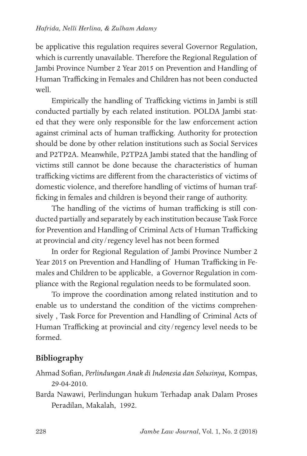be applicative this regulation requires several Governor Regulation, which is currently unavailable. Therefore the Regional Regulation of Jambi Province Number 2 Year 2015 on Prevention and Handling of Human Trafficking in Females and Children has not been conducted well.

Empirically the handling of Trafficking victims in Jambi is still conducted partially by each related institution. POLDA Jambi stated that they were only responsible for the law enforcement action against criminal acts of human trafficking. Authority for protection should be done by other relation institutions such as Social Services and P2TP2A. Meanwhile, P2TP2A Jambi stated that the handling of victims still cannot be done because the characteristics of human trafficking victims are different from the characteristics of victims of domestic violence, and therefore handling of victims of human trafficking in females and children is beyond their range of authority.

The handling of the victims of human trafficking is still conducted partially and separately by each institution because Task Force for Prevention and Handling of Criminal Acts of Human Trafficking at provincial and city/regency level has not been formed

In order for Regional Regulation of Jambi Province Number 2 Year 2015 on Prevention and Handling of Human Trafficking in Females and Children to be applicable, a Governor Regulation in compliance with the Regional regulation needs to be formulated soon.

To improve the coordination among related institution and to enable us to understand the condition of the victims comprehensively , Task Force for Prevention and Handling of Criminal Acts of Human Trafficking at provincial and city/regency level needs to be formed.

## **Bibliography**

- Ahmad Sofian, *Perlindungan Anak di Indonesia dan Solusinya,* Kompas, 29-04-2010.
- Barda Nawawi, Perlindungan hukum Terhadap anak Dalam Proses Peradilan, Makalah, 1992.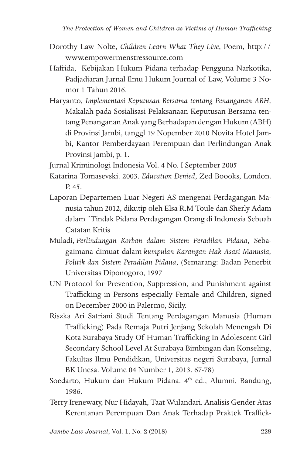- Dorothy Law Nolte, *Children Learn What They Live*, Poem, http:// www.empowermenstressource.com
- Hafrida, Kebijakan Hukum Pidana terhadap Pengguna Narkotika, Padjadjaran Jurnal Ilmu Hukum Journal of Law, Volume 3 Nomor 1 Tahun 2016.
- Haryanto, *Implementasi Keputusan Bersama tentang Penanganan ABH,* Makalah pada Sosialisasi Pelaksanaan Keputusan Bersama tentang Penanganan Anak yang Berhadapan dengan Hukum (ABH) di Provinsi Jambi, tanggl 19 Nopember 2010 Novita Hotel Jambi, Kantor Pemberdayaan Perempuan dan Perlindungan Anak Provinsi Jambi, p. 1.

Jurnal Kriminologi Indonesia Vol. 4 No. I September 2005

- Katarina Tomasevski. 2003. *Education Denied*, Zed Boooks, London. P. 45.
- Laporan Departemen Luar Negeri AS mengenai Perdagangan Manusia tahun 2012, dikutip oleh Elsa R.M Toule dan Sherly Adam dalam "Tindak Pidana Perdagangan Orang di Indonesia Sebuah Catatan Kritis
- Muladi, *Perlindungan Korban dalam Sistem Peradilan Pidana*, Sebagaimana dimuat dalam *kumpulan Karangan Hak Asasi Manusia, Politik dan Sistem Peradilan Pidana*, (Semarang: Badan Penerbit Universitas Diponogoro, 1997
- UN Protocol for Prevention, Suppression, and Punishment against Trafficking in Persons especially Female and Children, signed on December 2000 in Palermo, Sicily.
- Riszka Ari Satriani Studi Tentang Perdagangan Manusia (Human Trafficking) Pada Remaja Putri Jenjang Sekolah Menengah Di Kota Surabaya Study Of Human Trafficking In Adolescent Girl Secondary School Level At Surabaya Bimbingan dan Konseling, Fakultas Ilmu Pendidikan, Universitas negeri Surabaya, Jurnal BK Unesa. Volume 04 Number 1, 2013. 67-78)
- Soedarto, Hukum dan Hukum Pidana. 4<sup>th</sup> ed., Alumni, Bandung, 1986.
- Terry Irenewaty, Nur Hidayah, Taat Wulandari. Analisis Gender Atas Kerentanan Perempuan Dan Anak Terhadap Praktek Traffick-

*Jambe Law Journal*, Vol. 1, No. 2 (2018)